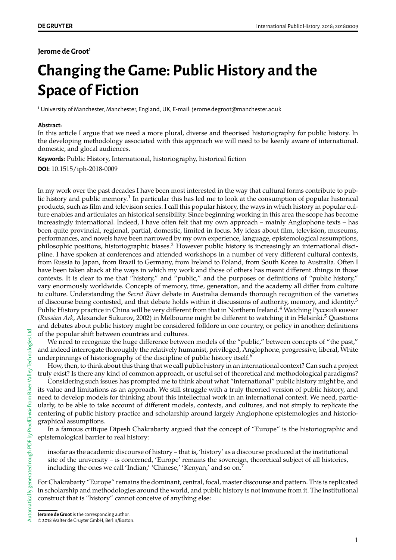## **Changing the Game: Public History and the Space of Fiction**

<sup>1</sup> University of Manchester, Manchester, England, UK, E-mail: jerome.degroot@manchester.ac.uk

## **Abstract:**

In this article I argue that we need a more plural, diverse and theorised historiography for public history. In the developing methodology associated with this approach we will need to be keenly aware of international. domestic, and glocal audiences.

**Keywords:** Public History, International, historiography, historical fiction

**DOI:** 10.1515/iph-2018-0009

In my work over the past decades I have been most interested in the way that cultural forms contribute to public history and public memory. $^1$  In particular this has led me to look at the consumption of popular historical products, such as film and television series. I call this popular history, the ways in which history in popular culture enables and articulates an historical sensibility. Since beginning working in this area the scope has become increasingly international. Indeed, I have often felt that my own approach – mainly Anglophone texts – has been quite provincial, regional, partial, domestic, limited in focus. My ideas about film, television, museums, performances, and novels have been narrowed by my own experience, language, epistemological assumptions, philosophic positions, historiographic biases.<sup>2</sup> However public history is increasingly an international discipline. I have spoken at conferences and attended workshops in a number of very different cultural contexts, from Russia to Japan, from Brazil to Germany, from Ireland to Poland, from South Korea to Australia. Often I have been taken aback at the ways in which my work and those of others has meant different .things in those contexts. It is clear to me that "history," and "public," and the purposes or definitions of "public history," vary enormously worldwide. Concepts of memory, time, generation, and the academy all differ from culture to culture. Understanding the *Secret River* debate in Australia demands thorough recognition of the varieties of discourse being contested, and that debate holds within it discussions of authority, memory, and identity.<sup>3</sup> Public History practice in China will be very different from that in Northern Ireland.<sup>4</sup> Watching Русский ковчег (*Russian Ark*, Alexander Sukurov, 2002) in Melbourne might be different to watching it in Helsinki.<sup>5</sup> Questions and debates about public history might be considered folklore in one country, or policy in another; definitions of the popular shift between countries and cultures.

We need to recognize the huge difference between models of the "public," between concepts of "the past," and indeed interrogate thoroughly the relatively humanist, privileged, Anglophone, progressive, liberal, White underpinnings of historiography of the discipline of public history itself.<sup>6</sup>

How, then, to think about this thing that we call public history in an international context? Can such a project truly exist? Is there any kind of common approach, or useful set of theoretical and methodological paradigms?

Considering such issues has prompted me to think about what "international" public history might be, and its value and limitations as an approach. We still struggle with a truly theoried version of public history, and need to develop models for thinking about this intellectual work in an international context. We need, particularly, to be able to take account of different models, contexts, and cultures, and not simply to replicate the centering of public history practice and scholarship around largely Anglophone epistemologies and historiographical assumptions.

In a famous critique Dipesh Chakrabarty argued that the concept of "Europe" is the historiographic and epistemological barrier to real history:

insofar as the academic discourse of history – that is, 'history' as a discourse produced at the institutional site of the university – is concerned, 'Europe' remains the sovereign, theoretical subject of all histories, including the ones we call 'Indian,' 'Chinese,' 'Kenyan,' and so on.<sup>7</sup>

For Chakrabarty "Europe" remains the dominant, central, focal, master discourse and pattern. This is replicated in scholarship and methodologies around the world, and public history is not immune from it. The institutional construct that is "history" cannot conceive of anything else:

**Jerome de Groot** is the corresponding author.

<sup>© 2018</sup> Walter de Gruyter GmbH, Berlin/Boston.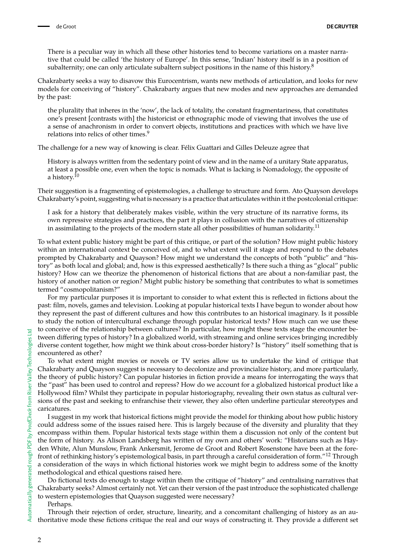There is a peculiar way in which all these other histories tend to become variations on a master narrative that could be called 'the history of Europe'. In this sense, 'Indian' history itself is in a position of subalternity; one can only articulate subaltern subject positions in the name of this history.<sup>8</sup>

Chakrabarty seeks a way to disavow this Eurocentrism, wants new methods of articulation, and looks for new models for conceiving of "history". Chakrabarty argues that new modes and new approaches are demanded by the past:

the plurality that inheres in the 'now', the lack of totality, the constant fragmentariness, that constitutes one's present [contrasts with] the historicist or ethnographic mode of viewing that involves the use of a sense of anachronism in order to convert objects, institutions and practices with which we have live relations into relics of other times.<sup>9</sup>

The challenge for a new way of knowing is clear. Félix Guattari and Gilles Deleuze agree that

History is always written from the sedentary point of view and in the name of a unitary State apparatus, at least a possible one, even when the topic is nomads. What is lacking is Nomadology, the opposite of a history.<sup>10</sup>

Their suggestion is a fragmenting of epistemologies, a challenge to structure and form. Ato Quayson develops Chakrabarty's point, suggesting what is necessary is a practice that articulates within it the postcolonial critique:

I ask for a history that deliberately makes visible, within the very structure of its narrative forms, its own repressive strategies and practices, the part it plays in collusion with the narratives of citizenship in assimilating to the projects of the modern state all other possibilities of human solidarity.<sup>11</sup>

To what extent public history might be part of this critique, or part of the solution? How might public history within an international context be conceived of, and to what extent will it stage and respond to the debates prompted by Chakrabarty and Quayson? How might we understand the concepts of both "public" and "history" as both local and global; and, how is this expressed aesthetically? Is there such a thing as "glocal" public history? How can we theorize the phenomenon of historical fictions that are about a non-familiar past, the history of another nation or region? Might public history be something that contributes to what is sometimes termed "cosmopolitanism?"

For my particular purposes it is important to consider to what extent this is reflected in fictions about the past: film, novels, games and television. Looking at popular historical texts I have begun to wonder about how they represent the past of different cultures and how this contributes to an historical imaginary. Is it possible to study the notion of intercultural exchange through popular historical texts? How much can we use these to conceive of the relationship between cultures? In particular, how might these texts stage the encounter between differing types of history? In a globalized world, with streaming and online services bringing incredibly diverse content together, how might we think about cross-border history? Is "history" itself something that is encountered as other?

To what extent might movies or novels or TV series allow us to undertake the kind of critique that Chakrabarty and Quayson suggest is necessary to decolonize and provincialize history, and more particularly, the theory of public history? Can popular histories in fiction provide a means for interrogating the ways that the "past" has been used to control and repress? How do we account for a globalized historical product like a Hollywood film? Whilst they participate in popular historiography, revealing their own status as cultural versions of the past and seeking to enfranchise their viewer, they also often underline particular stereotypes and caricatures.

I suggest in my work that historical fictions might provide the model for thinking about how public history could address some of the issues raised here. This is largely because of the diversity and plurality that they encompass within them. Popular historical texts stage within them a discussion not only of the content but the form of history. As Alison Landsberg has written of my own and others' work: "Historians such as Hayden White, Alun Munslow, Frank Ankersmit, Jerome de Groot and Robert Rosenstone have been at the forefront of rethinking history's epistemological basis, in part through a careful consideration of form."<sup>12</sup> Through a consideration of the ways in which fictional histories work we might begin to address some of the knotty methodological and ethical questions raised here.

Do fictional texts do enough to stage within them the critique of "history" and centralising narratives that Chakrabarty seeks? Almost certainly not. Yet can their version of the past introduce the sophisticated challenge to western epistemologies that Quayson suggested were necessary?

Perhaps.

Through their rejection of order, structure, linearity, and a concomitant challenging of history as an authoritative mode these fictions critique the real and our ways of constructing it. They provide a different set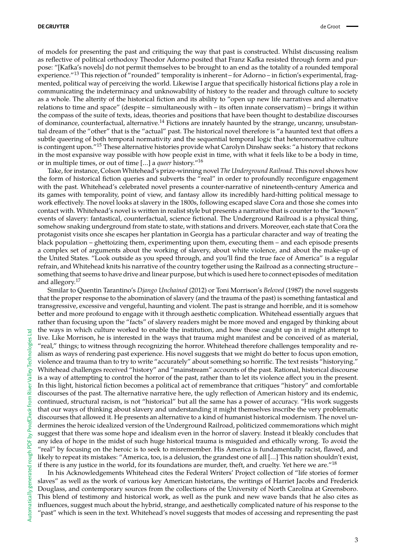of models for presenting the past and critiquing the way that past is constructed. Whilst discussing realism as reflective of political orthodoxy Theodor Adorno posited that Franz Kafka resisted through form and purpose: "[Kafka's novels] do not permit themselves to be brought to an end as the totality of a rounded temporal experience."<sup>13</sup> This rejection of "rounded" temporality is inherent – for Adorno – in fiction's experimental*,* fragmented, political way of perceiving the world. Likewise I argue that specifically historical fictions play a role in communicating the indeterminacy and unknowability of history to the reader and through culture to society as a whole. The alterity of the historical fiction and its ability to "open up new life narratives and alternative relations to time and space" (despite – simultaneously with – its often innate conservatism) – brings it within the compass of the suite of texts, ideas, theories and positions that have been thought to destabilize discourses of dominance, counterfactual, alternative.<sup>14</sup> Fictions are innately haunted by the strange, uncanny, unsubstantial dream of the "other" that is the "actual" past. The historical novel therefore is "a haunted text that offers a subtle queering of both temporal normativity and the sequential temporal logic that heteronormative culture is contingent upon."<sup>15</sup> These alternative histories provide what Carolyn Dinshaw seeks: "a history that reckons in the most expansive way possible with how people exist in time, with what it feels like to be a body in time, or in multiple times, or out of time […] a *queer* history." 16

Take, for instance, Colson Whitehead's prize-winning novel *The Underground Railroad*. This novel shows how the form of historical fiction queries and subverts the "real" in order to profoundly reconfigure engagement with the past. Whitehead's celebrated novel presents a counter-narrative of nineteenth-century America and its games with temporality, point of view, and fantasy allow its incredibly hard-hitting political message to work effectively. The novel looks at slavery in the 1800s, following escaped slave Cora and those she comes into contact with. Whitehead's novel is written in realist style but presents a narrative that is counter to the "known" events of slavery: fantastical, counterfactual, science fictional. The Underground Railroad is a physical thing, somehow snaking underground from state to state, with stations and drivers. Moreover, each state that Cora the protagonist visits once she escapes her plantation in Georgia has a particular character and way of treating the black population – ghettoizing them, experimenting upon them, executing them – and each episode presents a complex set of arguments about the working of slavery, about white violence, and about the make-up of the United States. "Look outside as you speed through, and you'll find the true face of America" is a regular refrain, and Whitehead knits his narrative of the country together using the Railroad as a connecting structure – something that seems to have drive and linear purpose, but which is used here to connect episodes of meditation and allegory.<sup>17</sup>

Similar to Quentin Tarantino's *Django Unchained* (2012) or Toni Morrison's *Beloved* (1987) the novel suggests that the proper response to the abomination of slavery (and the trauma of the past) is something fantastical and transgressive, excessive and vengeful, haunting and violent. The past is strange and horrible, and it is somehow better and more profound to engage with it through aesthetic complication. Whitehead essentially argues that rather than focusing upon the "facts" of slavery readers might be more moved and engaged by thinking about the ways in which culture worked to enable the institution, and how those caught up in it might attempt to live. Like Morrison, he is interested in the ways that trauma might manifest and be conceived of as material, "real," things; to witness through recognizing the horror. Whitehead therefore challenges temporality and realism as ways of rendering past experience. His novel suggests that we might do better to focus upon emotion, violence and trauma than to try to write "accurately" about something so horrific. The text resists "historying." Whitehead challenges received "history" and "mainstream" accounts of the past. Rational, historical discourse is a way of attempting to control the horror of the past, rather than to let its violence affect you in the present. In this light, historical fiction becomes a political act of remembrance that critiques "history" and comfortable discourses of the past. The alternative narrative here, the ugly reflection of American history and its endemic, continued, structural racism, is not "historical" but all the same has a power of accuracy. "His work suggests that our ways of thinking about slavery and understanding it might themselves inscribe the very problematic discourses that allowed it. He presents an alternative to a kind of humanist historical modernism. The novel undermines the heroic idealized version of the Underground Railroad, politicized commemorations which might suggest that there was some hope and idealism even in the horror of slavery. Instead it bleakly concludes that any idea of hope in the midst of such huge historical trauma is misguided and ethically wrong. To avoid the "real" by focusing on the heroic is to seek to misremember. His America is fundamentally racist, flawed, and likely to repeat its mistakes: "America, too, is a delusion, the grandest one of all […] This nation shouldn't exist, if there is any justice in the world, for its foundations are murder, theft, and cruelty. Yet here we are. $^{\prime\prime 18}$ 

In his Acknowledgements Whitehead cites the Federal Writers' Project collection of "life stories of former slaves" as well as the work of various key American historians, the writings of Harriet Jacobs and Frederick Douglass, and contemporary sources from the collections of the University of North Carolina at Greensboro. This blend of testimony and historical work, as well as the punk and new wave bands that he also cites as influences, suggest much about the hybrid, strange, and aesthetically complicated nature of his response to the "past" which is seen in the text. Whitehead's novel suggests that modes of accessing and representing the past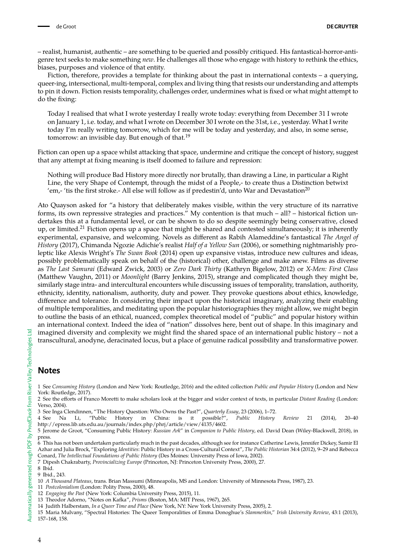– realist, humanist, authentic – are something to be queried and possibly critiqued. His fantastical-horror-antigenre text seeks to make something *new*. He challenges all those who engage with history to rethink the ethics, biases, purposes and violence of that entity.

Fiction, therefore, provides a template for thinking about the past in international contexts – a querying, queer-ing, intersectional, multi-temporal, complex and living thing that resists our understanding and attempts to pin it down. Fiction resists temporality, challenges order, undermines what is fixed or what might attempt to do the fixing:

Today I realised that what I wrote yesterday I really wrote today: everything from December 31 I wrote on January 1, i.e. today, and what I wrote on December 30 I wrote on the 31st, i.e., yesterday. What I write today I'm really writing tomorrow, which for me will be today and yesterday, and also, in some sense, tomorrow: an invisible day. But enough of that.<sup>19</sup>

Fiction can open up a space whilst attacking that space, undermine and critique the concept of history, suggest that any attempt at fixing meaning is itself doomed to failure and repression:

Nothing will produce Bad History more directly nor brutally, than drawing a Line, in particular a Right Line, the very Shape of Contempt, through the midst of a People,- to create thus a Distinction betwixt 'em,- 'tis the first stroke.- All else will follow as if predestin'd, unto War and Devastation<sup>20</sup>

Ato Quayson asked for "a history that deliberately makes visible, within the very structure of its narrative forms, its own repressive strategies and practices." My contention is that much – all? – historical fiction undertakes this at a fundamental level, or can be shown to do so despite seemingly being conservative, closed up, or limited.<sup>21</sup> Fiction opens up a space that might be shared and contested simultaneously; it is inherently experimental, expansive, and welcoming. Novels as different as Rabih Alameddine's fantastical *The Angel of History* (2017), Chimanda Ngozie Adichie's realist *Half of a Yellow Sun* (2006), or something nightmarishly proleptic like Alexis Wright's *The Swan Book* (2014) open up expansive vistas, introduce new cultures and ideas, possibly problematically speak on behalf of the (historical) other, challenge and make anew. Films as diverse as *The Last Samurai* (Edward Zwick, 2003) or *Zero Dark Thirty* (Kathryn Bigelow, 2012) or *X-Men: First Class* (Matthew Vaughn, 2011) or *Moonlight* (Barry Jenkins, 2015), strange and complicated though they might be, similarly stage intra- and intercultural encounters while discussing issues of temporality, translation, authority, ethnicity, identity, nationalism, authority, duty and power. They provoke questions about ethics, knowledge, difference and tolerance. In considering their impact upon the historical imaginary, analyzing their enabling of multiple temporalities, and meditating upon the popular historiographies they might allow, we might begin to outline the basis of an ethical, nuanced, complex theoretical model of "public" and popular history within an international context. Indeed the idea of "nation" dissolves here, bent out of shape. In this imaginary and imagined diversity and complexity we might find the shared space of an international public history – not a transcultural, anodyne, deracinated locus, but a place of genuine radical possibility and transformative power.

## **Notes**

- 2 See the efforts of Franco Moretti to make scholars look at the bigger and wider context of texts, in particular *Distant Reading* (London: Verso, 2004).
- 3 See Inga Clendinnen, "The History Question: Who Owns the Past?", *Quarterly Essay*, 23 (2006), 1–72.
- 4 See Na Li, "Public History in China: is it possible?", *Public History Review* 21 (2014), 20–40 http://epress.lib.uts.edu.au/journals/index.php/phrj/article/view/4135/4602.
- 5 Jerome de Groot, "Consuming Public History: *Russian Ark*" in *Companion to Public History*, ed. David Dean (Wiley-Blackwell, 2018), in press.
- 6 This has not been undertaken particularly much in the past decades, although see for instance Catherine Lewis, Jennifer Dickey, Samir El Azhar and Julia Brock, "Exploring *Identities*: Public History in a Cross-Cultural Context", *The Public Historian* 34:4 (2012), 9–29 and Rebecca Conard, *The Intellectual Foundations of Public History* (Des Moines: University Press of Iowa, 2002).
- 7 Dipesh Chakrabarty, *Provincializing Europe* (Princeton, NJ: Princeton University Press, 2000), 27.
- 8 Ibid.
- 9 Ibid., 243.
- 10 *A Thousand Plateaus*, trans. Brian Massumi (Minneapolis, MS and London: University of Minnesota Press, 1987), 23.
- 11 *Postcolonialism* (London: Polity Press, 2000), 48.
- 12 *Engaging the Past* (New York: Columbia University Press, 2015), 11.
- 13 Theodor Adorno, "Notes on Kafka", *Prisms* (Boston, MA: MIT Press, 1967), 265.
- 14 Judith Halberstam, *In a Queer Time and Place* (New York, NY: New York University Press, 2005), 2.
- 15 Maria Mulvany, "Spectral Histories: The Queer Temporalities of Emma Donoghue's *Slammerkin*," *Irish University Review*, 43:1 (2013), 157–168, 158.

<sup>1</sup> See *Consuming History* (London and New York: Routledge, 2016) and the edited collection *Public and Popular History* (London and New York: Routledge, 2017).